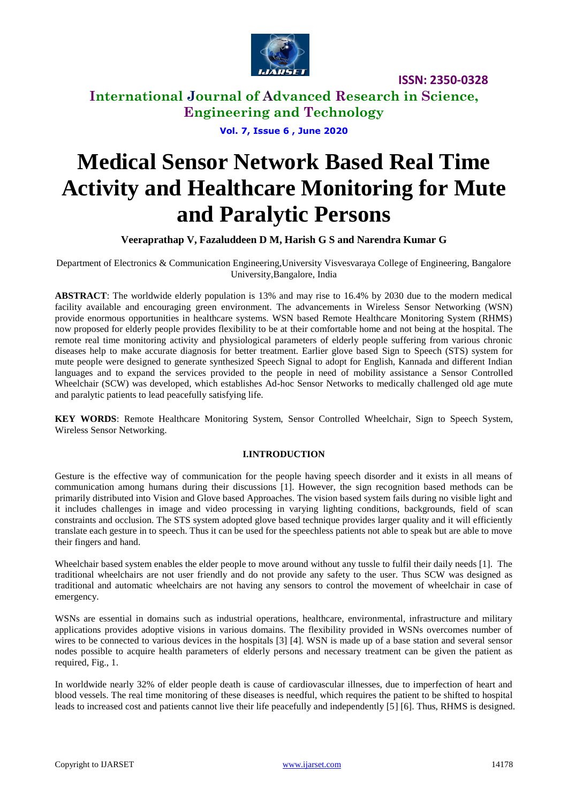

**International Journal of Advanced Research in Science, Engineering and Technology**

**Vol. 7, Issue 6 , June 2020**

# **Medical Sensor Network Based Real Time Activity and Healthcare Monitoring for Mute and Paralytic Persons**

**Veeraprathap V, Fazaluddeen D M, Harish G S and Narendra Kumar G**

Department of Electronics & Communication Engineering,University Visvesvaraya College of Engineering, Bangalore University,Bangalore, India

**ABSTRACT**: The worldwide elderly population is 13% and may rise to 16.4% by 2030 due to the modern medical facility available and encouraging green environment. The advancements in Wireless Sensor Networking (WSN) provide enormous opportunities in healthcare systems. WSN based Remote Healthcare Monitoring System (RHMS) now proposed for elderly people provides flexibility to be at their comfortable home and not being at the hospital. The remote real time monitoring activity and physiological parameters of elderly people suffering from various chronic diseases help to make accurate diagnosis for better treatment. Earlier glove based Sign to Speech (STS) system for mute people were designed to generate synthesized Speech Signal to adopt for English, Kannada and different Indian languages and to expand the services provided to the people in need of mobility assistance a Sensor Controlled Wheelchair (SCW) was developed, which establishes Ad-hoc Sensor Networks to medically challenged old age mute and paralytic patients to lead peacefully satisfying life.

**KEY WORDS**: Remote Healthcare Monitoring System, Sensor Controlled Wheelchair, Sign to Speech System, Wireless Sensor Networking.

#### **I.INTRODUCTION**

Gesture is the effective way of communication for the people having speech disorder and it exists in all means of communication among humans during their discussions [1]. However, the sign recognition based methods can be primarily distributed into Vision and Glove based Approaches. The vision based system fails during no visible light and it includes challenges in image and video processing in varying lighting conditions, backgrounds, field of scan constraints and occlusion. The STS system adopted glove based technique provides larger quality and it will efficiently translate each gesture in to speech. Thus it can be used for the speechless patients not able to speak but are able to move their fingers and hand.

Wheelchair based system enables the elder people to move around without any tussle to fulfil their daily needs [1]. The traditional wheelchairs are not user friendly and do not provide any safety to the user. Thus SCW was designed as traditional and automatic wheelchairs are not having any sensors to control the movement of wheelchair in case of emergency.

WSNs are essential in domains such as industrial operations, healthcare, environmental, infrastructure and military applications provides adoptive visions in various domains. The flexibility provided in WSNs overcomes number of wires to be connected to various devices in the hospitals [3] [4]. WSN is made up of a base station and several sensor nodes possible to acquire health parameters of elderly persons and necessary treatment can be given the patient as required, Fig., 1.

In worldwide nearly 32% of elder people death is cause of cardiovascular illnesses, due to imperfection of heart and blood vessels. The real time monitoring of these diseases is needful, which requires the patient to be shifted to hospital leads to increased cost and patients cannot live their life peacefully and independently [5] [6]. Thus, RHMS is designed.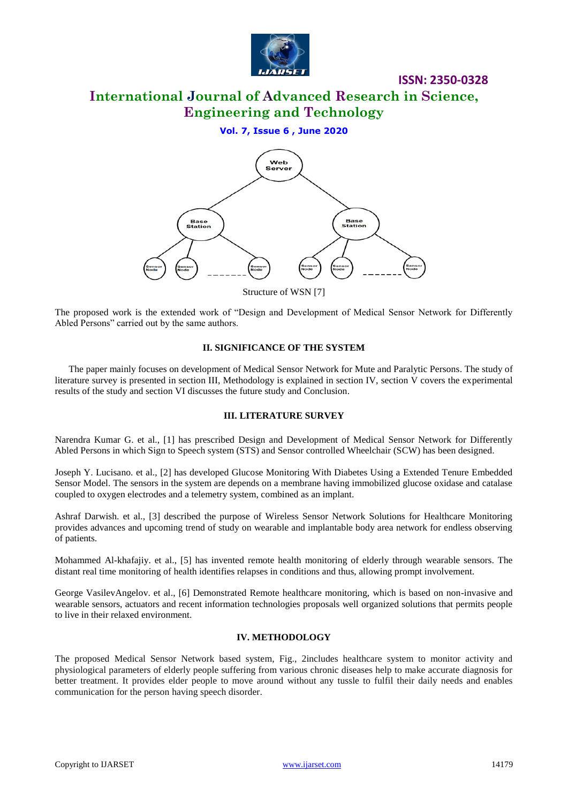

**International Journal of Advanced Research in Science, Engineering and Technology**

#### **Vol. 7, Issue 6 , June 2020**



Structure of WSN [7]

The proposed work is the extended work of "Design and Development of Medical Sensor Network for Differently Abled Persons" carried out by the same authors.

#### **II. SIGNIFICANCE OF THE SYSTEM**

The paper mainly focuses on development of Medical Sensor Network for Mute and Paralytic Persons. The study of literature survey is presented in section III, Methodology is explained in section IV, section V covers the experimental results of the study and section VI discusses the future study and Conclusion.

#### **III. LITERATURE SURVEY**

Narendra Kumar G. et al., [1] has prescribed Design and Development of Medical Sensor Network for Differently Abled Persons in which Sign to Speech system (STS) and Sensor controlled Wheelchair (SCW) has been designed.

Joseph Y. Lucisano. et al., [2] has developed Glucose Monitoring With Diabetes Using a Extended Tenure Embedded Sensor Model. The sensors in the system are depends on a membrane having immobilized glucose oxidase and catalase coupled to oxygen electrodes and a telemetry system, combined as an implant.

Ashraf Darwish. et al., [3] described the purpose of Wireless Sensor Network Solutions for Healthcare Monitoring provides advances and upcoming trend of study on wearable and implantable body area network for endless observing of patients.

Mohammed Al-khafajiy. et al., [5] has invented remote health monitoring of elderly through wearable sensors. The distant real time monitoring of health identifies relapses in conditions and thus, allowing prompt involvement.

George VasilevAngelov. et al., [6] Demonstrated Remote healthcare monitoring, which is based on non-invasive and wearable sensors, actuators and recent information technologies proposals well organized solutions that permits people to live in their relaxed environment.

#### **IV. METHODOLOGY**

The proposed Medical Sensor Network based system, Fig., 2includes healthcare system to monitor activity and physiological parameters of elderly people suffering from various chronic diseases help to make accurate diagnosis for better treatment. It provides elder people to move around without any tussle to fulfil their daily needs and enables communication for the person having speech disorder.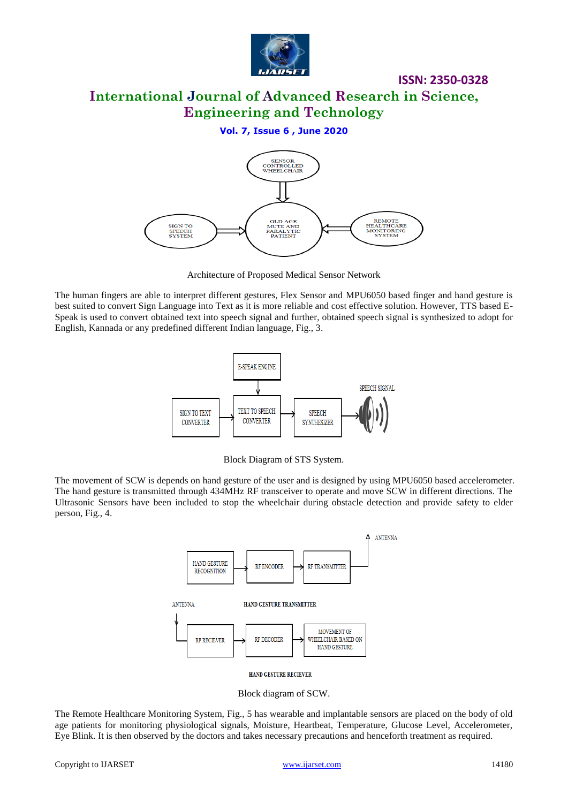

**International Journal of Advanced Research in Science, Engineering and Technology**

#### **Vol. 7, Issue 6 , June 2020**



Architecture of Proposed Medical Sensor Network

The human fingers are able to interpret different gestures, Flex Sensor and MPU6050 based finger and hand gesture is best suited to convert Sign Language into Text as it is more reliable and cost effective solution. However, TTS based E-Speak is used to convert obtained text into speech signal and further, obtained speech signal is synthesized to adopt for English, Kannada or any predefined different Indian language, Fig., 3.



Block Diagram of STS System.

The movement of SCW is depends on hand gesture of the user and is designed by using MPU6050 based accelerometer. The hand gesture is transmitted through 434MHz RF transceiver to operate and move SCW in different directions. The Ultrasonic Sensors have been included to stop the wheelchair during obstacle detection and provide safety to elder person, Fig., 4.



HAND GESTURE RECIEVER

Block diagram of SCW.

The Remote Healthcare Monitoring System, Fig., 5 has wearable and implantable sensors are placed on the body of old age patients for monitoring physiological signals, Moisture, Heartbeat, Temperature, Glucose Level, Accelerometer, Eye Blink. It is then observed by the doctors and takes necessary precautions and henceforth treatment as required.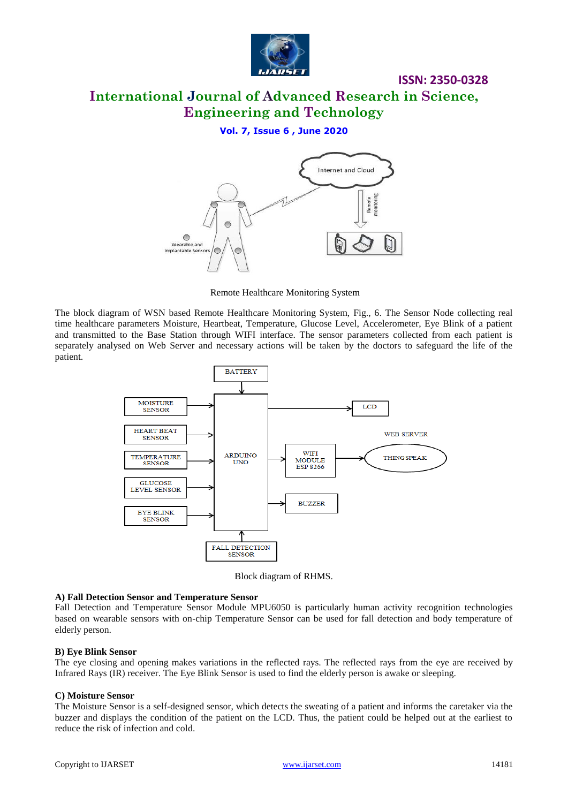

## **International Journal of Advanced Research in Science, Engineering and Technology**

#### **Vol. 7, Issue 6 , June 2020**



Remote Healthcare Monitoring System

The block diagram of WSN based Remote Healthcare Monitoring System, Fig., 6. The Sensor Node collecting real time healthcare parameters Moisture, Heartbeat, Temperature, Glucose Level, Accelerometer, Eye Blink of a patient and transmitted to the Base Station through WIFI interface. The sensor parameters collected from each patient is separately analysed on Web Server and necessary actions will be taken by the doctors to safeguard the life of the patient.



Block diagram of RHMS.

### **A) Fall Detection Sensor and Temperature Sensor**

Fall Detection and Temperature Sensor Module MPU6050 is particularly human activity recognition technologies based on wearable sensors with on-chip Temperature Sensor can be used for fall detection and body temperature of elderly person.

#### **B) Eye Blink Sensor**

The eye closing and opening makes variations in the reflected rays. The reflected rays from the eye are received by Infrared Rays (IR) receiver. The Eye Blink Sensor is used to find the elderly person is awake or sleeping.

#### **C) Moisture Sensor**

The Moisture Sensor is a self-designed sensor, which detects the sweating of a patient and informs the caretaker via the buzzer and displays the condition of the patient on the LCD. Thus, the patient could be helped out at the earliest to reduce the risk of infection and cold.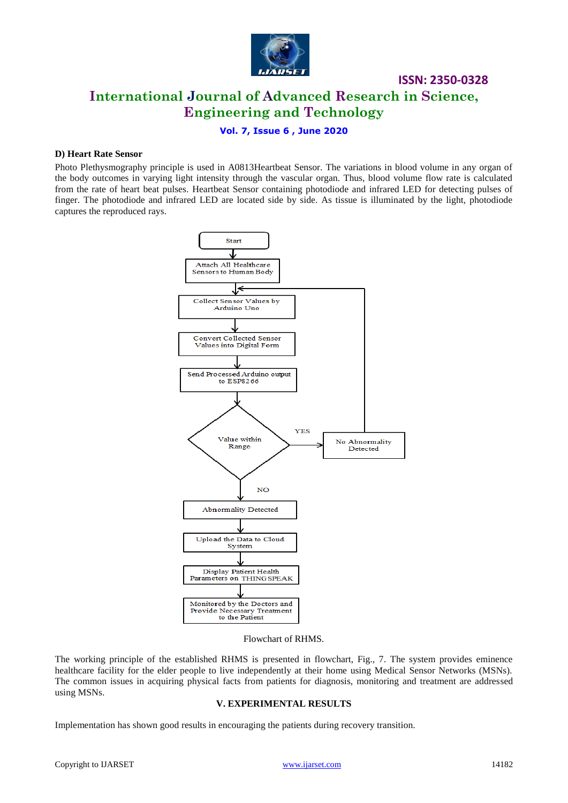

# **ISSN: 2350-0328 International Journal of Advanced Research in Science, Engineering and Technology**

#### **Vol. 7, Issue 6 , June 2020**

#### **D) Heart Rate Sensor**

Photo Plethysmography principle is used in A0813Heartbeat Sensor. The variations in blood volume in any organ of the body outcomes in varying light intensity through the vascular organ. Thus, blood volume flow rate is calculated from the rate of heart beat pulses. Heartbeat Sensor containing photodiode and infrared LED for detecting pulses of finger. The photodiode and infrared LED are located side by side. As tissue is illuminated by the light, photodiode captures the reproduced rays.



Flowchart of RHMS.

The working principle of the established RHMS is presented in flowchart, Fig., 7. The system provides eminence healthcare facility for the elder people to live independently at their home using Medical Sensor Networks (MSNs). The common issues in acquiring physical facts from patients for diagnosis, monitoring and treatment are addressed using MSNs.

#### **V. EXPERIMENTAL RESULTS**

Implementation has shown good results in encouraging the patients during recovery transition.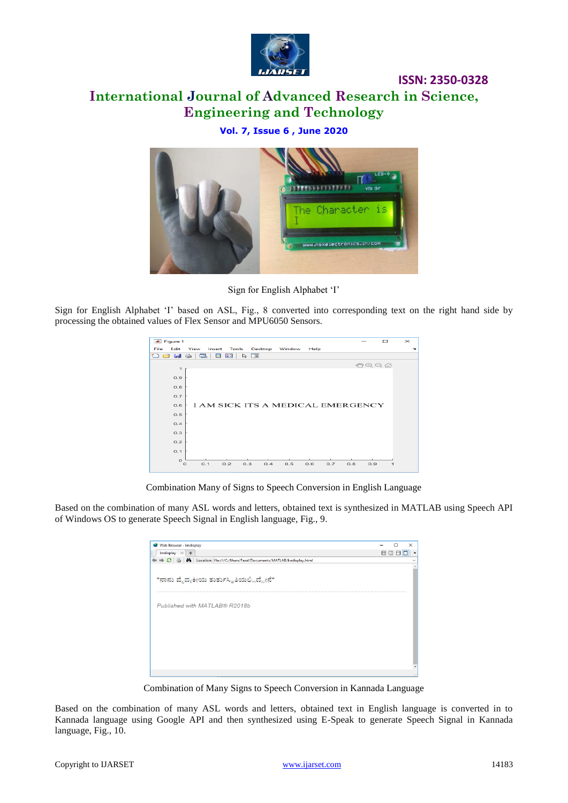

# **International Journal of Advanced Research in Science, Engineering and Technology**

### **Vol. 7, Issue 6 , June 2020**



Sign for English Alphabet 'I'

Sign for English Alphabet 'I' based on ASL, Fig., 8 converted into corresponding text on the right hand side by processing the obtained values of Flex Sensor and MPU6050 Sensors.

|      | ← Figure 1            |         |        |         |                       |                |                                   |      |     |     |      | $\Box$       | $\times$ |
|------|-----------------------|---------|--------|---------|-----------------------|----------------|-----------------------------------|------|-----|-----|------|--------------|----------|
| File | Edit                  | View    | Insert | Tools   |                       | <b>Desktop</b> | Window                            | Help |     |     |      |              | ÷.       |
| ு    | c<br><b>Septiment</b> | $\iff$  | c      | ■□<br>ш | $\blacksquare$<br>Vs. |                |                                   |      |     |     |      |              |          |
|      | $\mathbf{1}$          |         |        |         |                       |                |                                   |      |     |     | 如田口命 |              |          |
|      | 0.9                   |         |        |         |                       |                |                                   |      |     |     |      |              |          |
|      | 0.8                   |         |        |         |                       |                |                                   |      |     |     |      |              |          |
|      | 0.7                   |         |        |         |                       |                |                                   |      |     |     |      |              |          |
|      | 0.6                   |         |        |         |                       |                | I AM SICK ITS A MEDICAL EMERGENCY |      |     |     |      |              |          |
|      | 0.5                   |         |        |         |                       |                |                                   |      |     |     |      |              |          |
|      | 0.4                   |         |        |         |                       |                |                                   |      |     |     |      |              |          |
|      | 0.3                   |         |        |         |                       |                |                                   |      |     |     |      |              |          |
|      | 0.2                   |         |        |         |                       |                |                                   |      |     |     |      |              |          |
|      | O.1                   |         |        |         |                       |                |                                   |      |     |     |      |              |          |
|      | $\circ$               | $\circ$ | 0.1    | 0.2     | 0.3                   | 0.4            | 0.5                               | 0.6  | 0.7 | 0.8 | 0.9  | $\mathbf{1}$ |          |
|      |                       |         |        |         |                       |                |                                   |      |     |     |      |              |          |

Combination Many of Signs to Speech Conversion in English Language

Based on the combination of many ASL words and letters, obtained text is synthesized in MATLAB using Speech API of Windows OS to generate Speech Signal in English language, Fig., 9.

| Web Browser - kndisplay                                                                | п           | $\times$                 |
|----------------------------------------------------------------------------------------|-------------|--------------------------|
| kndisplay<br>$+$<br>$\mathbb{X}$                                                       | <b>BDBD</b> | $\sim$                   |
| → C   ●   △   △   △   Location: file:///C:/Users/Fazal/Documents/MATLAB/kndisplay.html |             | $\checkmark$             |
|                                                                                        |             |                          |
| "ನಾನು ವೈದ್ಯಕೀಯ ತುರ್ತುಸ್ಥಿತಿಯಲ್ಲಿದ್ದೇನೆ"                                                |             |                          |
| Published with MATLAB® R2018b                                                          |             |                          |
|                                                                                        |             |                          |
|                                                                                        |             |                          |
|                                                                                        |             | $\overline{\phantom{a}}$ |
|                                                                                        |             | иă                       |

Combination of Many Signs to Speech Conversion in Kannada Language

Based on the combination of many ASL words and letters, obtained text in English language is converted in to Kannada language using Google API and then synthesized using E-Speak to generate Speech Signal in Kannada language, Fig., 10.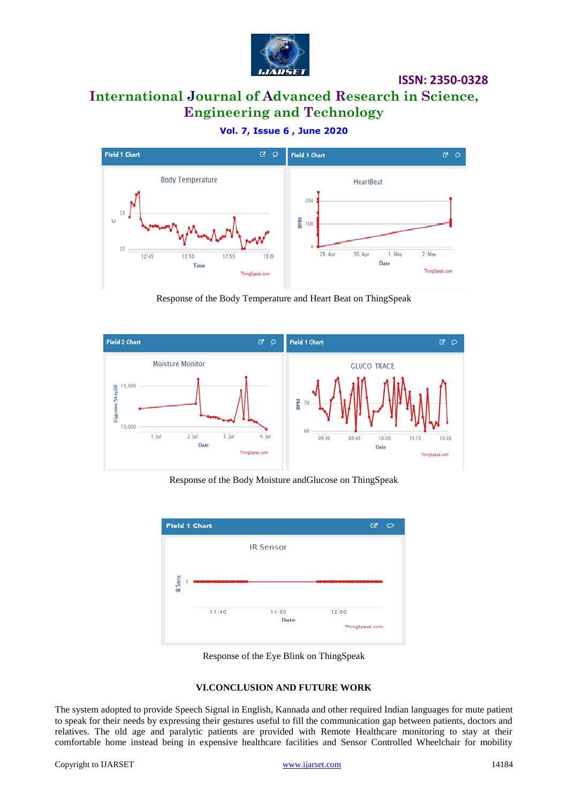

# **International Journal of Advanced Research in Science, Engineering and Technology**

**Vol. 7, Issue 6 , June 2020**



Response of the Body Temperature and Heart Beat on ThingSpeak



Response of the Body Moisture andGlucose on ThingSpeak



Response of the Eye Blink on ThingSpeak

#### **VI.CONCLUSION AND FUTURE WORK**

The system adopted to provide Speech Signal in English, Kannada and other required Indian languages for mute patient to speak for their needs by expressing their gestures useful to fill the communication gap between patients, doctors and relatives. The old age and paralytic patients are provided with Remote Healthcare monitoring to stay at their comfortable home instead being in expensive healthcare facilities and Sensor Controlled Wheelchair for mobility